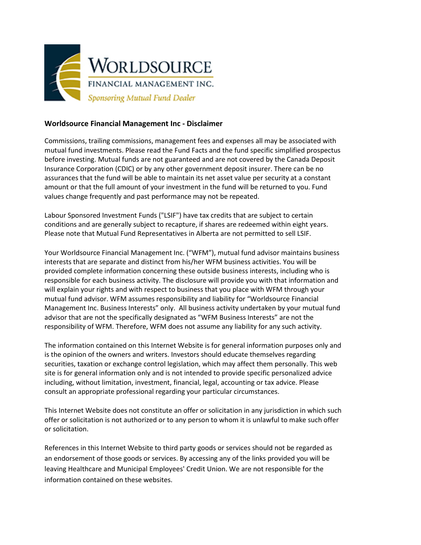

## **Worldsource Financial Management Inc - Disclaimer**

Commissions, trailing commissions, management fees and expenses all may be associated with mutual fund investments. Please read the Fund Facts and the fund specific simplified prospectus before investing. Mutual funds are not guaranteed and are not covered by the Canada Deposit Insurance Corporation (CDIC) or by any other government deposit insurer. There can be no assurances that the fund will be able to maintain its net asset value per security at a constant amount or that the full amount of your investment in the fund will be returned to you. Fund values change frequently and past performance may not be repeated.

Labour Sponsored Investment Funds ("LSIF") have tax credits that are subject to certain conditions and are generally subject to recapture, if shares are redeemed within eight years. Please note that Mutual Fund Representatives in Alberta are not permitted to sell LSIF.

Your Worldsource Financial Management Inc. ("WFM"), mutual fund advisor maintains business interests that are separate and distinct from his/her WFM business activities. You will be provided complete information concerning these outside business interests, including who is responsible for each business activity. The disclosure will provide you with that information and will explain your rights and with respect to business that you place with WFM through your mutual fund advisor. WFM assumes responsibility and liability for "Worldsource Financial Management Inc. Business Interests" only. All business activity undertaken by your mutual fund advisor that are not the specifically designated as "WFM Business Interests" are not the responsibility of WFM. Therefore, WFM does not assume any liability for any such activity.

The information contained on this Internet Website is for general information purposes only and is the opinion of the owners and writers. Investors should educate themselves regarding securities, taxation or exchange control legislation, which may affect them personally. This web site is for general information only and is not intended to provide specific personalized advice including, without limitation, investment, financial, legal, accounting or tax advice. Please consult an appropriate professional regarding your particular circumstances.

This Internet Website does not constitute an offer or solicitation in any jurisdiction in which such offer or solicitation is not authorized or to any person to whom it is unlawful to make such offer or solicitation.

References in this Internet Website to third party goods or services should not be regarded as an endorsement of those goods or services. By accessing any of the links provided you will be leaving Healthcare and Municipal Employees' Credit Union. We are not responsible for the information contained on these websites.